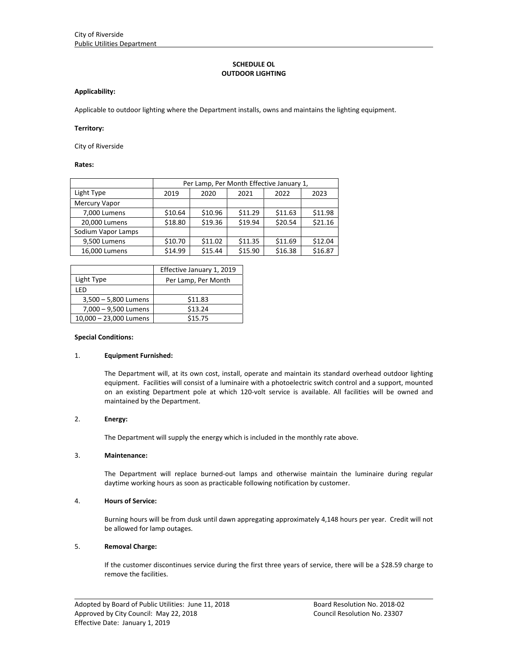# **SCHEDULE OL OUTDOOR LIGHTING**

### **Applicability:**

Applicable to outdoor lighting where the Department installs, owns and maintains the lighting equipment.

#### **Territory:**

City of Riverside

**Rates:**

|                    | Per Lamp, Per Month Effective January 1, |         |         |         |         |
|--------------------|------------------------------------------|---------|---------|---------|---------|
| Light Type         | 2019                                     | 2020    | 2021    | 2022    | 2023    |
| Mercury Vapor      |                                          |         |         |         |         |
| 7,000 Lumens       | \$10.64                                  | \$10.96 | \$11.29 | \$11.63 | \$11.98 |
| 20,000 Lumens      | \$18.80                                  | \$19.36 | \$19.94 | \$20.54 | \$21.16 |
| Sodium Vapor Lamps |                                          |         |         |         |         |
| 9,500 Lumens       | \$10.70                                  | \$11.02 | \$11.35 | \$11.69 | \$12.04 |
| 16,000 Lumens      | \$14.99                                  | \$15.44 | \$15.90 | \$16.38 | \$16.87 |

|                        | Effective January 1, 2019 |  |  |
|------------------------|---------------------------|--|--|
| Light Type             | Per Lamp, Per Month       |  |  |
| I FD                   |                           |  |  |
| 3,500 - 5,800 Lumens   | \$11.83                   |  |  |
| 7,000 - 9,500 Lumens   | \$13.24                   |  |  |
| 10,000 - 23,000 Lumens | \$15.75                   |  |  |

#### **Special Conditions:**

#### 1. **Equipment Furnished:**

The Department will, at its own cost, install, operate and maintain its standard overhead outdoor lighting equipment. Facilities will consist of a luminaire with a photoelectric switch control and a support, mounted on an existing Department pole at which 120‐volt service is available. All facilities will be owned and maintained by the Department.

# 2. **Energy:**

The Department will supply the energy which is included in the monthly rate above.

#### 3. **Maintenance:**

The Department will replace burned-out lamps and otherwise maintain the luminaire during regular daytime working hours as soon as practicable following notification by customer.

#### 4. **Hours of Service:**

Burning hours will be from dusk until dawn appregating approximately 4,148 hours per year. Credit will not be allowed for lamp outages.

### 5. **Removal Charge:**

If the customer discontinues service during the first three years of service, there will be a \$28.59 charge to remove the facilities.

<u> 1989 - Johann Stoff, amerikansk politiker (d. 1989)</u>